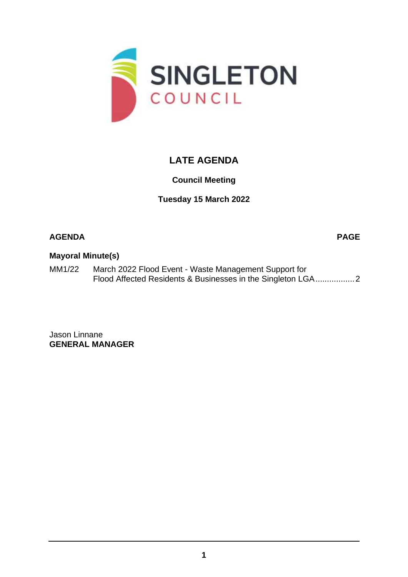

# **LATE AGENDA**

## **Council Meeting**

**Tuesday 15 March 2022**

### **AGENDA PAGE**

#### **Mayoral Minute(s)**

MM1/22 March 2022 Flood Event - Waste Management Support for Flood Affected Residents & Businesses in the Singleton LGA................[.2](#page-1-0)

Jason Linnane **GENERAL MANAGER**